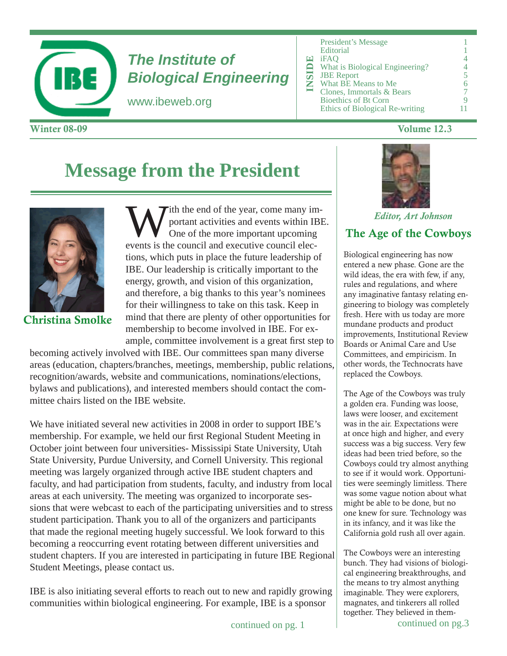

# *The Institute of Biological Engineering*

www.ibeweb.org

| <b>Winter 08-09</b> | Volume 12.3 |
|---------------------|-------------|
|---------------------|-------------|

|  | Œ<br><b>TNSUD</b> | <b>President's Message</b><br>Editorial<br>iFAO<br>What is Biological Engineering?<br><b>JBE</b> Report<br>What BE Means to Me<br>Clones, Immortals & Bears<br><b>Bioethics of Bt Corn</b><br>Ethics of Biological Re-writing |  |
|--|-------------------|-------------------------------------------------------------------------------------------------------------------------------------------------------------------------------------------------------------------------------|--|
|--|-------------------|-------------------------------------------------------------------------------------------------------------------------------------------------------------------------------------------------------------------------------|--|

# **Message from the President**



Christina Smolke

With the end of the year, come many im-<br>portant activities and events within IBI<br>One of the more important upcoming<br>averts is the council and executive council also portant activities and events within IBE. One of the more important upcoming events is the council and executive council elections, which puts in place the future leadership of IBE. Our leadership is critically important to the energy, growth, and vision of this organization, and therefore, a big thanks to this year's nominees for their willingness to take on this task. Keep in mind that there are plenty of other opportunities for membership to become involved in IBE. For example, committee involvement is a great first step to

becoming actively involved with IBE. Our committees span many diverse areas (education, chapters/branches, meetings, membership, public relations, recognition/awards, website and communications, nominations/elections, bylaws and publications), and interested members should contact the committee chairs listed on the IBE website.

We have initiated several new activities in 2008 in order to support IBE's membership. For example, we held our first Regional Student Meeting in October joint between four universities- Mississipi State University, Utah State University, Purdue University, and Cornell University. This regional meeting was largely organized through active IBE student chapters and faculty, and had participation from students, faculty, and industry from local areas at each university. The meeting was organized to incorporate sessions that were webcast to each of the participating universities and to stress student participation. Thank you to all of the organizers and participants that made the regional meeting hugely successful. We look forward to this becoming a reoccurring event rotating between different universities and student chapters. If you are interested in participating in future IBE Regional Student Meetings, please contact us.

IBE is also initiating several efforts to reach out to new and rapidly growing communities within biological engineering. For example, IBE is a sponsor



*Editor, Art Johnson*

# The Age of the Cowboys

Biological engineering has now entered a new phase. Gone are the wild ideas, the era with few, if any, rules and regulations, and where any imaginative fantasy relating engineering to biology was completely fresh. Here with us today are more mundane products and product improvements, Institutional Review Boards or Animal Care and Use Committees, and empiricism. In other words, the Technocrats have replaced the Cowboys.

The Age of the Cowboys was truly a golden era. Funding was loose, laws were looser, and excitement was in the air. Expectations were at once high and higher, and every success was a big success. Very few ideas had been tried before, so the Cowboys could try almost anything to see if it would work. Opportunities were seemingly limitless. There was some vague notion about what might be able to be done, but no one knew for sure. Technology was in its infancy, and it was like the California gold rush all over again.

The Cowboys were an interesting bunch. They had visions of biological engineering breakthroughs, and the means to try almost anything imaginable. They were explorers, magnates, and tinkerers all rolled together. They believed in them-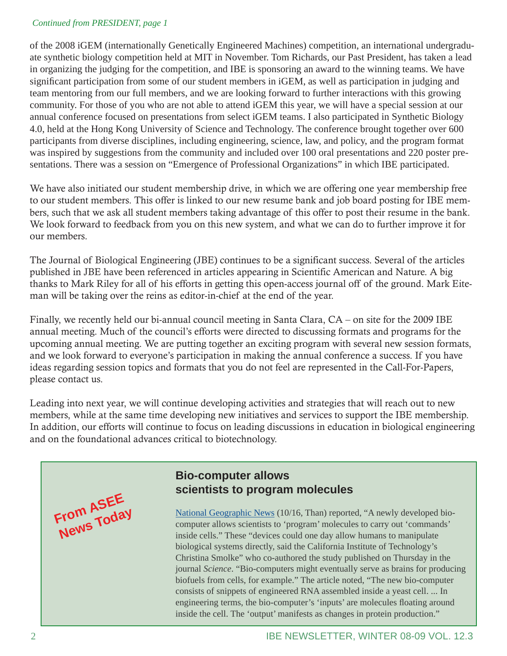#### *Continued from PRESIDENT, page 1*

of the 2008 iGEM (internationally Genetically Engineered Machines) competition, an international undergraduate synthetic biology competition held at MIT in November. Tom Richards, our Past President, has taken a lead in organizing the judging for the competition, and IBE is sponsoring an award to the winning teams. We have significant participation from some of our student members in iGEM, as well as participation in judging and team mentoring from our full members, and we are looking forward to further interactions with this growing community. For those of you who are not able to attend iGEM this year, we will have a special session at our annual conference focused on presentations from select iGEM teams. I also participated in Synthetic Biology 4.0, held at the Hong Kong University of Science and Technology. The conference brought together over 600 participants from diverse disciplines, including engineering, science, law, and policy, and the program format was inspired by suggestions from the community and included over 100 oral presentations and 220 poster presentations. There was a session on "Emergence of Professional Organizations" in which IBE participated.

We have also initiated our student membership drive, in which we are offering one year membership free to our student members. This offer is linked to our new resume bank and job board posting for IBE members, such that we ask all student members taking advantage of this offer to post their resume in the bank. We look forward to feedback from you on this new system, and what we can do to further improve it for our members.

The Journal of Biological Engineering (JBE) continues to be a significant success. Several of the articles published in JBE have been referenced in articles appearing in Scientific American and Nature. A big thanks to Mark Riley for all of his efforts in getting this open-access journal off of the ground. Mark Eiteman will be taking over the reins as editor-in-chief at the end of the year.

Finally, we recently held our bi-annual council meeting in Santa Clara, CA – on site for the 2009 IBE annual meeting. Much of the council's efforts were directed to discussing formats and programs for the upcoming annual meeting. We are putting together an exciting program with several new session formats, and we look forward to everyone's participation in making the annual conference a success. If you have ideas regarding session topics and formats that you do not feel are represented in the Call-For-Papers, please contact us.

Leading into next year, we will continue developing activities and strategies that will reach out to new members, while at the same time developing new initiatives and services to support the IBE membership. In addition, our efforts will continue to focus on leading discussions in education in biological engineering and on the foundational advances critical to biotechnology.



# **Bio-computer allows scientists to program molecules**

National Geographic News (10/16, Than) reported, "A newly developed biocomputer allows scientists to 'program' molecules to carry out 'commands' inside cells." These "devices could one day allow humans to manipulate biological systems directly, said the California Institute of Technology's Christina Smolke" who co-authored the study published on Thursday in the journal *Science*. "Bio-computers might eventually serve as brains for producing biofuels from cells, for example." The article noted, "The new bio-computer consists of snippets of engineered RNA assembled inside a yeast cell. ... In engineering terms, the bio-computer's 'inputs' are molecules floating around inside the cell. The 'output' manifests as changes in protein production."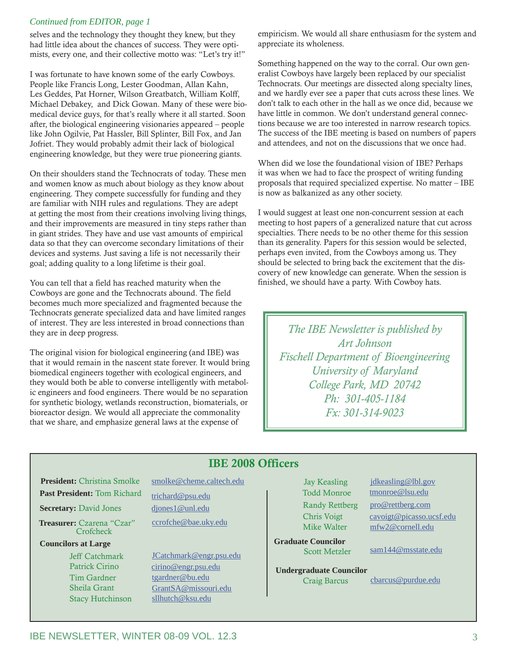#### *Continued from EDITOR, page 1*

selves and the technology they thought they knew, but they had little idea about the chances of success. They were optimists, every one, and their collective motto was: "Let's try it!"

I was fortunate to have known some of the early Cowboys. People like Francis Long, Lester Goodman, Allan Kahn, Les Geddes, Pat Horner, Wilson Greatbatch, William Kolff, Michael Debakey, and Dick Gowan. Many of these were biomedical device guys, for that's really where it all started. Soon after, the biological engineering visionaries appeared – people like John Ogilvie, Pat Hassler, Bill Splinter, Bill Fox, and Jan Jofriet. They would probably admit their lack of biological engineering knowledge, but they were true pioneering giants.

On their shoulders stand the Technocrats of today. These men and women know as much about biology as they know about engineering. They compete successfully for funding and they are familiar with NIH rules and regulations. They are adept at getting the most from their creations involving living things, and their improvements are measured in tiny steps rather than in giant strides. They have and use vast amounts of empirical data so that they can overcome secondary limitations of their devices and systems. Just saving a life is not necessarily their goal; adding quality to a long lifetime is their goal.

You can tell that a field has reached maturity when the Cowboys are gone and the Technocrats abound. The field becomes much more specialized and fragmented because the Technocrats generate specialized data and have limited ranges of interest. They are less interested in broad connections than they are in deep progress.

The original vision for biological engineering (and IBE) was that it would remain in the nascent state forever. It would bring biomedical engineers together with ecological engineers, and they would both be able to converse intelligently with metabolic engineers and food engineers. There would be no separation for synthetic biology, wetlands reconstruction, biomaterials, or bioreactor design. We would all appreciate the commonality that we share, and emphasize general laws at the expense of

empiricism. We would all share enthusiasm for the system and appreciate its wholeness.

Something happened on the way to the corral. Our own generalist Cowboys have largely been replaced by our specialist Technocrats. Our meetings are dissected along specialty lines, and we hardly ever see a paper that cuts across these lines. We don't talk to each other in the hall as we once did, because we have little in common. We don't understand general connections because we are too interested in narrow research topics. The success of the IBE meeting is based on numbers of papers and attendees, and not on the discussions that we once had.

When did we lose the foundational vision of IBE? Perhaps it was when we had to face the prospect of writing funding proposals that required specialized expertise. No matter – IBE is now as balkanized as any other society.

I would suggest at least one non-concurrent session at each meeting to host papers of a generalized nature that cut across specialties. There needs to be no other theme for this session than its generality. Papers for this session would be selected, perhaps even invited, from the Cowboys among us. They should be selected to bring back the excitement that the discovery of new knowledge can generate. When the session is finished, we should have a party. With Cowboy hats.

*The IBE Newsletter is published by Art Johnson Fischell Department of Bioengineering University of Maryland College Park, MD 20742 Ph: 301-405-1184 Fx: 301-314-9023*

### IBE 2008 Officers

**President:** Christina Smolke smolke@cheme.caltech.edu

**Secretary:** David Jones djones1@unl.edu

**Treasurer:** Czarena "Czar" ccrofche@bae.uky.edu **Crofcheck** 

#### **Councilors at Large**

Stacy Hutchinson

Past President: Tom Richard trichard@psu.edu

Jeff Catchmark JCatchmark@engr.psu.edu Patrick Cirino cirino@engr.psu.edu Tim Gardner tgardner@bu.edu Sheila Grant GrantSA@missouri.edu<br>Stacy Hutchinson sllhutch@ksu.edu

Todd Monroe tmonroe@lsu.edu

**Graduate Councilor**

**Undergraduate Councilor** Craig Barcus cbarcus@purdue.edu

Jay Keasling *jdkeasling@lbl.gov* Randy Rettberg pro@rettberg.com Chris Voigt cavoigt@picasso.ucsf.edu Mike Walter mfw2@cornell.edu

Scott Metzler sam144@msstate.edu

IBE NEWSLETTER, WINTER 08-09 VOL. 12.3 3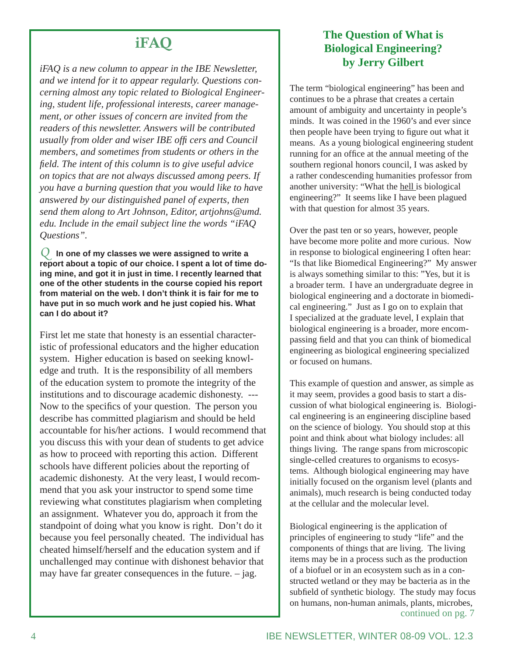# iFAQ

*iFAQ is a new column to appear in the IBE Newsletter, and we intend for it to appear regularly. Questions concerning almost any topic related to Biological Engineering, student life, professional interests, career management, or other issues of concern are invited from the readers of this newsletter. Answers will be contributed usually from older and wiser IBE offi cers and Council members, and sometimes from students or others in the fi eld. The intent of this column is to give useful advice on topics that are not always discussed among peers. If you have a burning question that you would like to have answered by our distinguished panel of experts, then send them along to Art Johnson, Editor, artjohns@umd. edu. Include in the email subject line the words "iFAQ Questions".*

*Q* **In one of my classes we were assigned to write a report about a topic of our choice. I spent a lot of time doing mine, and got it in just in time. I recently learned that one of the other students in the course copied his report from material on the web. I don't think it is fair for me to have put in so much work and he just copied his. What can I do about it?**

First let me state that honesty is an essential characteristic of professional educators and the higher education system. Higher education is based on seeking knowledge and truth. It is the responsibility of all members of the education system to promote the integrity of the institutions and to discourage academic dishonesty. --- Now to the specifics of your question. The person you describe has committed plagiarism and should be held accountable for his/her actions. I would recommend that you discuss this with your dean of students to get advice as how to proceed with reporting this action. Different schools have different policies about the reporting of academic dishonesty. At the very least, I would recommend that you ask your instructor to spend some time reviewing what constitutes plagiarism when completing an assignment. Whatever you do, approach it from the standpoint of doing what you know is right. Don't do it because you feel personally cheated. The individual has cheated himself/herself and the education system and if unchallenged may continue with dishonest behavior that may have far greater consequences in the future.  $-$  jag.

# **The Question of What is Biological Engineering? by Jerry Gilbert**

The term "biological engineering" has been and continues to be a phrase that creates a certain amount of ambiguity and uncertainty in people's minds. It was coined in the 1960's and ever since then people have been trying to figure out what it means. As a young biological engineering student running for an office at the annual meeting of the southern regional honors council, I was asked by a rather condescending humanities professor from another university: "What the hell is biological engineering?" It seems like I have been plagued with that question for almost 35 years.

Over the past ten or so years, however, people have become more polite and more curious. Now in response to biological engineering I often hear: "Is that like Biomedical Engineering?" My answer is always something similar to this: "Yes, but it is a broader term. I have an undergraduate degree in biological engineering and a doctorate in biomedical engineering." Just as I go on to explain that I specialized at the graduate level, I explain that biological engineering is a broader, more encompassing field and that you can think of biomedical engineering as biological engineering specialized or focused on humans.

This example of question and answer, as simple as it may seem, provides a good basis to start a discussion of what biological engineering is. Biological engineering is an engineering discipline based on the science of biology. You should stop at this point and think about what biology includes: all things living. The range spans from microscopic single-celled creatures to organisms to ecosystems. Although biological engineering may have initially focused on the organism level (plants and animals), much research is being conducted today at the cellular and the molecular level.

Biological engineering is the application of principles of engineering to study "life" and the components of things that are living. The living items may be in a process such as the production of a biofuel or in an ecosystem such as in a constructed wetland or they may be bacteria as in the subfield of synthetic biology. The study may focus on humans, non-human animals, plants, microbes, continued on pg. 7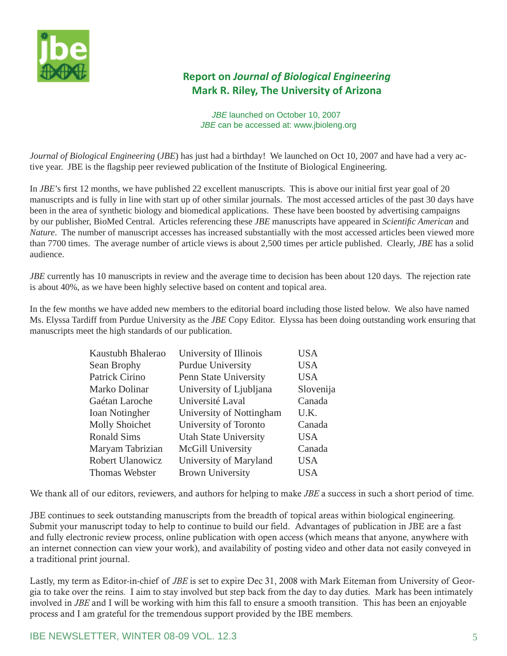

# **Report on** *Journal of Biological Engineering*  **Mark R. Riley, The University of Arizona**

 *JBE* launched on October 10, 2007  *JBE* can be accessed at: www.jbioleng.org

*Journal of Biological Engineering* (*JBE*) has just had a birthday! We launched on Oct 10, 2007 and have had a very active year. JBE is the flagship peer reviewed publication of the Institute of Biological Engineering.

In *JBE*'s first 12 months, we have published 22 excellent manuscripts. This is above our initial first year goal of 20 manuscripts and is fully in line with start up of other similar journals. The most accessed articles of the past 30 days have been in the area of synthetic biology and biomedical applications. These have been boosted by advertising campaigns by our publisher, BioMed Central. Articles referencing these *JBE* manuscripts have appeared in *Scientifi c American* and *Nature*. The number of manuscript accesses has increased substantially with the most accessed articles been viewed more than 7700 times. The average number of article views is about 2,500 times per article published. Clearly, *JBE* has a solid audience.

*JBE* currently has 10 manuscripts in review and the average time to decision has been about 120 days. The rejection rate is about 40%, as we have been highly selective based on content and topical area.

In the few months we have added new members to the editorial board including those listed below. We also have named Ms. Elyssa Tardiff from Purdue University as the *JBE* Copy Editor. Elyssa has been doing outstanding work ensuring that manuscripts meet the high standards of our publication.

| Kaustubh Bhalerao       | University of Illinois       | <b>USA</b> |
|-------------------------|------------------------------|------------|
| Sean Brophy             | <b>Purdue University</b>     | <b>USA</b> |
| Patrick Cirino          | Penn State University        | <b>USA</b> |
| Marko Dolinar           | University of Ljubljana      | Slovenija  |
| Gaétan Laroche          | Université Laval             | Canada     |
| <b>Ioan Notingher</b>   | University of Nottingham     | U.K.       |
| <b>Molly Shoichet</b>   | University of Toronto        | Canada     |
| <b>Ronald Sims</b>      | <b>Utah State University</b> | <b>USA</b> |
| Maryam Tabrizian        | McGill University            | Canada     |
| <b>Robert Ulanowicz</b> | University of Maryland       | <b>USA</b> |
| Thomas Webster          | <b>Brown University</b>      | USA        |

We thank all of our editors, reviewers, and authors for helping to make *JBE* a success in such a short period of time.

JBE continues to seek outstanding manuscripts from the breadth of topical areas within biological engineering. Submit your manuscript today to help to continue to build our field. Advantages of publication in JBE are a fast and fully electronic review process, online publication with open access (which means that anyone, anywhere with an internet connection can view your work), and availability of posting video and other data not easily conveyed in a traditional print journal.

Lastly, my term as Editor-in-chief of *JBE* is set to expire Dec 31, 2008 with Mark Eiteman from University of Georgia to take over the reins. I aim to stay involved but step back from the day to day duties. Mark has been intimately involved in *JBE* and I will be working with him this fall to ensure a smooth transition. This has been an enjoyable process and I am grateful for the tremendous support provided by the IBE members.

### IBE NEWSLETTER, WINTER 08-09 VOL. 12.3 **First 10 SET 10 SET 10 SET 10 SET 10 SET 10 SET 10 SET 10 SET 10 SET 10**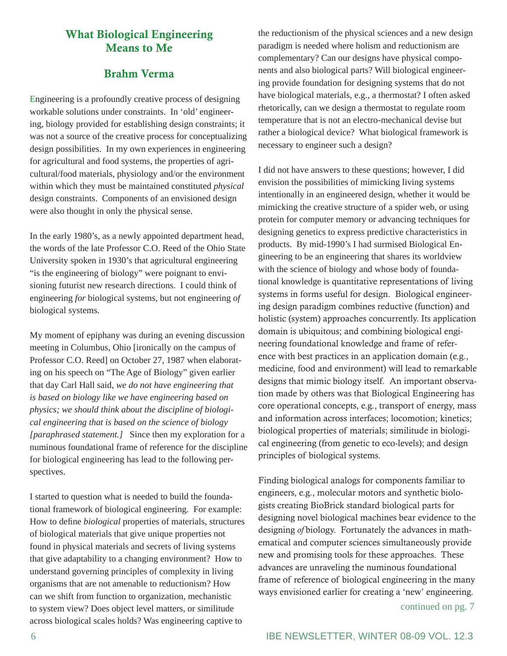## What Biological Engineering Means to Me

## Brahm Verma

Engineering is a profoundly creative process of designing workable solutions under constraints. In 'old' engineering, biology provided for establishing design constraints; it was not a source of the creative process for conceptualizing design possibilities. In my own experiences in engineering for agricultural and food systems, the properties of agricultural/food materials, physiology and/or the environment within which they must be maintained constituted *physical* design constraints. Components of an envisioned design were also thought in only the physical sense.

In the early 1980's, as a newly appointed department head, the words of the late Professor C.O. Reed of the Ohio State University spoken in 1930's that agricultural engineering "is the engineering of biology" were poignant to envisioning futurist new research directions. I could think of engineering *for* biological systems, but not engineering *of* biological systems.

My moment of epiphany was during an evening discussion meeting in Columbus, Ohio [ironically on the campus of Professor C.O. Reed] on October 27, 1987 when elaborating on his speech on "The Age of Biology" given earlier that day Carl Hall said, *we do not have engineering that is based on biology like we have engineering based on physics; we should think about the discipline of biological engineering that is based on the science of biology [paraphrased statement.]* Since then my exploration for a numinous foundational frame of reference for the discipline for biological engineering has lead to the following perspectives.

I started to question what is needed to build the foundational framework of biological engineering. For example: How to define *biological* properties of materials, structures of biological materials that give unique properties not found in physical materials and secrets of living systems that give adaptability to a changing environment? How to understand governing principles of complexity in living organisms that are not amenable to reductionism? How can we shift from function to organization, mechanistic to system view? Does object level matters, or similitude across biological scales holds? Was engineering captive to

the reductionism of the physical sciences and a new design paradigm is needed where holism and reductionism are complementary? Can our designs have physical components and also biological parts? Will biological engineering provide foundation for designing systems that do not have biological materials, e.g., a thermostat? I often asked rhetorically, can we design a thermostat to regulate room temperature that is not an electro-mechanical devise but rather a biological device? What biological framework is necessary to engineer such a design?

I did not have answers to these questions; however, I did envision the possibilities of mimicking living systems intentionally in an engineered design, whether it would be mimicking the creative structure of a spider web, or using protein for computer memory or advancing techniques for designing genetics to express predictive characteristics in products. By mid-1990's I had surmised Biological Engineering to be an engineering that shares its worldview with the science of biology and whose body of foundational knowledge is quantitative representations of living systems in forms useful for design. Biological engineering design paradigm combines reductive (function) and holistic (system) approaches concurrently. Its application domain is ubiquitous; and combining biological engineering foundational knowledge and frame of reference with best practices in an application domain (e.g., medicine, food and environment) will lead to remarkable designs that mimic biology itself. An important observation made by others was that Biological Engineering has core operational concepts, e.g., transport of energy, mass and information across interfaces; locomotion; kinetics; biological properties of materials; similitude in biological engineering (from genetic to eco-levels); and design principles of biological systems.

Finding biological analogs for components familiar to engineers, e.g., molecular motors and synthetic biologists creating BioBrick standard biological parts for designing novel biological machines bear evidence to the designing *of* biology. Fortunately the advances in mathematical and computer sciences simultaneously provide new and promising tools for these approaches. These advances are unraveling the numinous foundational frame of reference of biological engineering in the many ways envisioned earlier for creating a 'new' engineering.

continued on pg. 7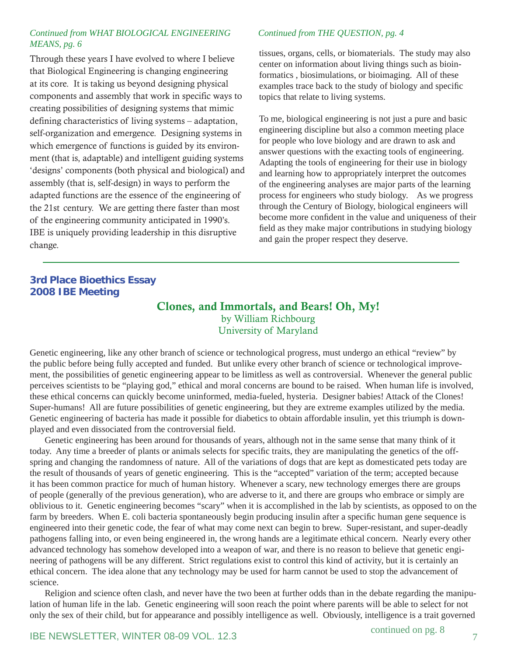#### *Continued from WHAT BIOLOGICAL ENGINEERING MEANS, pg. 6*

Through these years I have evolved to where I believe that Biological Engineering is changing engineering at its core. It is taking us beyond designing physical components and assembly that work in specific ways to creating possibilities of designing systems that mimic defining characteristics of living systems – adaptation, self-organization and emergence. Designing systems in which emergence of functions is guided by its environment (that is, adaptable) and intelligent guiding systems 'designs' components (both physical and biological) and assembly (that is, self-design) in ways to perform the adapted functions are the essence of the engineering of the 21st century. We are getting there faster than most of the engineering community anticipated in 1990's. IBE is uniquely providing leadership in this disruptive change.

#### *Continued from THE QUESTION, pg. 4*

tissues, organs, cells, or biomaterials. The study may also center on information about living things such as bioinformatics , biosimulations, or bioimaging. All of these examples trace back to the study of biology and specific topics that relate to living systems.

To me, biological engineering is not just a pure and basic engineering discipline but also a common meeting place for people who love biology and are drawn to ask and answer questions with the exacting tools of engineering. Adapting the tools of engineering for their use in biology and learning how to appropriately interpret the outcomes of the engineering analyses are major parts of the learning process for engineers who study biology. As we progress through the Century of Biology, biological engineers will become more confident in the value and uniqueness of their field as they make major contributions in studying biology and gain the proper respect they deserve.

#### **3rd Place Bioethics Essay 2008 IBE Meeting**

#### Clones, and Immortals, and Bears! Oh, My! by William Richbourg University of Maryland

Genetic engineering, like any other branch of science or technological progress, must undergo an ethical "review" by the public before being fully accepted and funded. But unlike every other branch of science or technological improvement, the possibilities of genetic engineering appear to be limitless as well as controversial. Whenever the general public perceives scientists to be "playing god," ethical and moral concerns are bound to be raised. When human life is involved, these ethical concerns can quickly become uninformed, media-fueled, hysteria. Designer babies! Attack of the Clones! Super-humans! All are future possibilities of genetic engineering, but they are extreme examples utilized by the media. Genetic engineering of bacteria has made it possible for diabetics to obtain affordable insulin, yet this triumph is downplayed and even dissociated from the controversial field.

Genetic engineering has been around for thousands of years, although not in the same sense that many think of it today. Any time a breeder of plants or animals selects for specific traits, they are manipulating the genetics of the offspring and changing the randomness of nature. All of the variations of dogs that are kept as domesticated pets today are the result of thousands of years of genetic engineering. This is the "accepted" variation of the term; accepted because it has been common practice for much of human history. Whenever a scary, new technology emerges there are groups of people (generally of the previous generation), who are adverse to it, and there are groups who embrace or simply are oblivious to it. Genetic engineering becomes "scary" when it is accomplished in the lab by scientists, as opposed to on the farm by breeders. When E. coli bacteria spontaneously begin producing insulin after a specific human gene sequence is engineered into their genetic code, the fear of what may come next can begin to brew. Super-resistant, and super-deadly pathogens falling into, or even being engineered in, the wrong hands are a legitimate ethical concern. Nearly every other advanced technology has somehow developed into a weapon of war, and there is no reason to believe that genetic engineering of pathogens will be any different. Strict regulations exist to control this kind of activity, but it is certainly an ethical concern. The idea alone that any technology may be used for harm cannot be used to stop the advancement of science.

Religion and science often clash, and never have the two been at further odds than in the debate regarding the manipulation of human life in the lab. Genetic engineering will soon reach the point where parents will be able to select for not only the sex of their child, but for appearance and possibly intelligence as well. Obviously, intelligence is a trait governed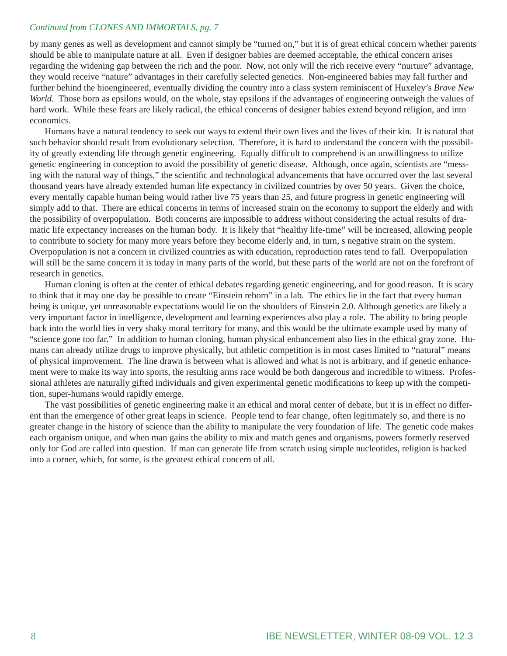#### *Continued from CLONES AND IMMORTALS, pg. 7*

by many genes as well as development and cannot simply be "turned on," but it is of great ethical concern whether parents should be able to manipulate nature at all. Even if designer babies are deemed acceptable, the ethical concern arises regarding the widening gap between the rich and the poor. Now, not only will the rich receive every "nurture" advantage, they would receive "nature" advantages in their carefully selected genetics. Non-engineered babies may fall further and further behind the bioengineered, eventually dividing the country into a class system reminiscent of Huxeley's *Brave New World.* Those born as epsilons would, on the whole, stay epsilons if the advantages of engineering outweigh the values of hard work. While these fears are likely radical, the ethical concerns of designer babies extend beyond religion, and into economics.

Humans have a natural tendency to seek out ways to extend their own lives and the lives of their kin. It is natural that such behavior should result from evolutionary selection. Therefore, it is hard to understand the concern with the possibility of greatly extending life through genetic engineering. Equally difficult to comprehend is an unwillingness to utilize genetic engineering in conception to avoid the possibility of genetic disease. Although, once again, scientists are "messing with the natural way of things," the scientific and technological advancements that have occurred over the last several thousand years have already extended human life expectancy in civilized countries by over 50 years. Given the choice, every mentally capable human being would rather live 75 years than 25, and future progress in genetic engineering will simply add to that. There are ethical concerns in terms of increased strain on the economy to support the elderly and with the possibility of overpopulation. Both concerns are impossible to address without considering the actual results of dramatic life expectancy increases on the human body. It is likely that "healthy life-time" will be increased, allowing people to contribute to society for many more years before they become elderly and, in turn, s negative strain on the system. Overpopulation is not a concern in civilized countries as with education, reproduction rates tend to fall. Overpopulation will still be the same concern it is today in many parts of the world, but these parts of the world are not on the forefront of research in genetics.

Human cloning is often at the center of ethical debates regarding genetic engineering, and for good reason. It is scary to think that it may one day be possible to create "Einstein reborn" in a lab. The ethics lie in the fact that every human being is unique, yet unreasonable expectations would lie on the shoulders of Einstein 2.0. Although genetics are likely a very important factor in intelligence, development and learning experiences also play a role. The ability to bring people back into the world lies in very shaky moral territory for many, and this would be the ultimate example used by many of "science gone too far." In addition to human cloning, human physical enhancement also lies in the ethical gray zone. Humans can already utilize drugs to improve physically, but athletic competition is in most cases limited to "natural" means of physical improvement. The line drawn is between what is allowed and what is not is arbitrary, and if genetic enhancement were to make its way into sports, the resulting arms race would be both dangerous and incredible to witness. Professional athletes are naturally gifted individuals and given experimental genetic modifications to keep up with the competition, super-humans would rapidly emerge.

The vast possibilities of genetic engineering make it an ethical and moral center of debate, but it is in effect no different than the emergence of other great leaps in science. People tend to fear change, often legitimately so, and there is no greater change in the history of science than the ability to manipulate the very foundation of life. The genetic code makes each organism unique, and when man gains the ability to mix and match genes and organisms, powers formerly reserved only for God are called into question. If man can generate life from scratch using simple nucleotides, religion is backed into a corner, which, for some, is the greatest ethical concern of all.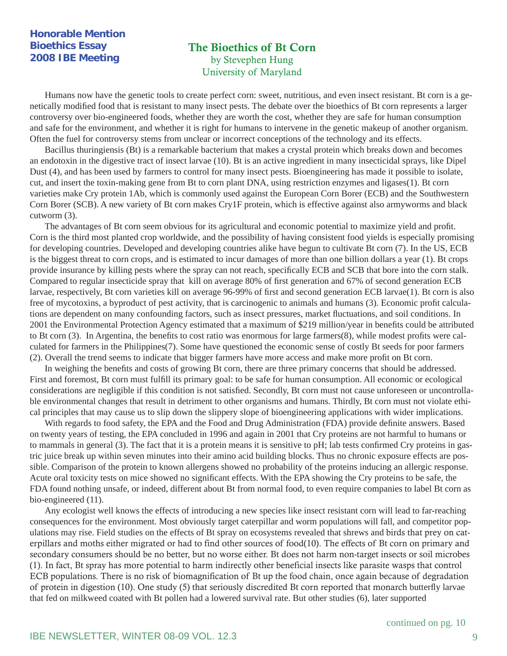#### **Honorable Mention Bioethics Essay 2008 IBE Meeting**

## The Bioethics of Bt Corn by Stevephen Hung University of Maryland

Humans now have the genetic tools to create perfect corn: sweet, nutritious, and even insect resistant. Bt corn is a genetically modified food that is resistant to many insect pests. The debate over the bioethics of Bt corn represents a larger controversy over bio-engineered foods, whether they are worth the cost, whether they are safe for human consumption and safe for the environment, and whether it is right for humans to intervene in the genetic makeup of another organism. Often the fuel for controversy stems from unclear or incorrect conceptions of the technology and its effects.

Bacillus thuringiensis (Bt) is a remarkable bacterium that makes a crystal protein which breaks down and becomes an endotoxin in the digestive tract of insect larvae (10). Bt is an active ingredient in many insecticidal sprays, like Dipel Dust (4), and has been used by farmers to control for many insect pests. Bioengineering has made it possible to isolate, cut, and insert the toxin-making gene from Bt to corn plant DNA, using restriction enzymes and ligases(1). Bt corn varieties make Cry protein 1Ab, which is commonly used against the European Corn Borer (ECB) and the Southwestern Corn Borer (SCB). A new variety of Bt corn makes Cry1F protein, which is effective against also armyworms and black cutworm (3).

The advantages of Bt corn seem obvious for its agricultural and economic potential to maximize yield and profit. Corn is the third most planted crop worldwide, and the possibility of having consistent food yields is especially promising for developing countries. Developed and developing countries alike have begun to cultivate Bt corn (7). In the US, ECB is the biggest threat to corn crops, and is estimated to incur damages of more than one billion dollars a year (1). Bt crops provide insurance by killing pests where the spray can not reach, specifically ECB and SCB that bore into the corn stalk. Compared to regular insecticide spray that kill on average 80% of first generation and 67% of second generation ECB larvae, respectively, Bt corn varieties kill on average 96-99% of first and second generation ECB larvae(1). Bt corn is also free of mycotoxins, a byproduct of pest activity, that is carcinogenic to animals and humans (3). Economic profi t calculations are dependent on many confounding factors, such as insect pressures, market fluctuations, and soil conditions. In 2001 the Environmental Protection Agency estimated that a maximum of \$219 million/year in benefits could be attributed to Bt corn  $(3)$ . In Argentina, the benefits to cost ratio was enormous for large farmers $(8)$ , while modest profits were calculated for farmers in the Philippines(7). Some have questioned the economic sense of costly Bt seeds for poor farmers (2). Overall the trend seems to indicate that bigger farmers have more access and make more profit on Bt corn.

In weighing the benefits and costs of growing Bt corn, there are three primary concerns that should be addressed. First and foremost, Bt corn must fulfill its primary goal: to be safe for human consumption. All economic or ecological considerations are negligible if this condition is not satisfied. Secondly, Bt corn must not cause unforeseen or uncontrollable environmental changes that result in detriment to other organisms and humans. Thirdly, Bt corn must not violate ethical principles that may cause us to slip down the slippery slope of bioengineering applications with wider implications.

With regards to food safety, the EPA and the Food and Drug Administration (FDA) provide definite answers. Based on twenty years of testing, the EPA concluded in 1996 and again in 2001 that Cry proteins are not harmful to humans or to mammals in general (3). The fact that it is a protein means it is sensitive to pH; lab tests confirmed Cry proteins in gastric juice break up within seven minutes into their amino acid building blocks. Thus no chronic exposure effects are possible. Comparison of the protein to known allergens showed no probability of the proteins inducing an allergic response. Acute oral toxicity tests on mice showed no significant effects. With the EPA showing the Cry proteins to be safe, the FDA found nothing unsafe, or indeed, different about Bt from normal food, to even require companies to label Bt corn as bio-engineered (11).

Any ecologist well knows the effects of introducing a new species like insect resistant corn will lead to far-reaching consequences for the environment. Most obviously target caterpillar and worm populations will fall, and competitor populations may rise. Field studies on the effects of Bt spray on ecosystems revealed that shrews and birds that prey on caterpillars and moths either migrated or had to find other sources of food(10). The effects of Bt corn on primary and secondary consumers should be no better, but no worse either. Bt does not harm non-target insects or soil microbes (1). In fact, Bt spray has more potential to harm indirectly other beneficial insects like parasite wasps that control ECB populations. There is no risk of biomagnification of Bt up the food chain, once again because of degradation of protein in digestion (10). One study (5) that seriously discredited Bt corn reported that monarch butterfly larvae that fed on milkweed coated with Bt pollen had a lowered survival rate. But other studies (6), later supported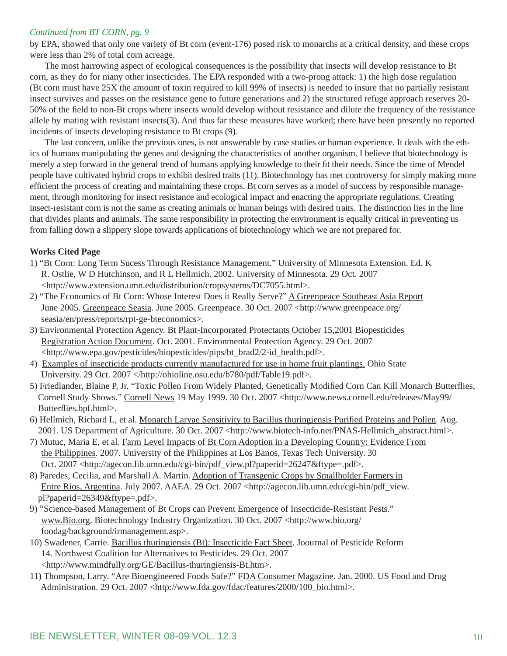#### *Continued from BT CORN, pg. 9*

by EPA, showed that only one variety of Bt corn (event-176) posed risk to monarchs at a critical density, and these crops were less than 2% of total corn acreage.

The most harrowing aspect of ecological consequences is the possibility that insects will develop resistance to Bt corn, as they do for many other insecticides. The EPA responded with a two-prong attack: 1) the high dose regulation (Bt corn must have 25X the amount of toxin required to kill 99% of insects) is needed to insure that no partially resistant insect survives and passes on the resistance gene to future generations and 2) the structured refuge approach reserves 20- 50% of the field to non-Bt crops where insects would develop without resistance and dilute the frequency of the resistance allele by mating with resistant insects(3). And thus far these measures have worked; there have been presently no reported incidents of insects developing resistance to Bt crops (9).

The last concern, unlike the previous ones, is not answerable by case studies or human experience. It deals with the ethics of humans manipulating the genes and designing the characteristics of another organism. I believe that biotechnology is merely a step forward in the general trend of humans applying knowledge to their fit their needs. Since the time of Mendel people have cultivated hybrid crops to exhibit desired traits (11). Biotechnology has met controversy for simply making more efficient the process of creating and maintaining these crops. Bt corn serves as a model of success by responsible management, through monitoring for insect resistance and ecological impact and enacting the appropriate regulations. Creating insect-resistant corn is not the same as creating animals or human beings with desired traits. The distinction lies in the line that divides plants and animals. The same responsibility in protecting the environment is equally critical in preventing us from falling down a slippery slope towards applications of biotechnology which we are not prepared for.

#### **Works Cited Page**

- 1) "Bt Corn: Long Term Sucess Through Resistance Management." University of Minnesota Extension. Ed. K R. Ostlie, W D Hutchinson, and R L Hellmich. 2002. University of Minnesota. 29 Oct. 2007 <http://www.extension.umn.edu/distribution/cropsystems/DC7055.html>.
- 2) "The Economics of Bt Corn: Whose Interest Does it Really Serve?" A Greenpeace Southeast Asia Report June 2005. Greenpeace Seasia. June 2005. Greenpeace. 30 Oct. 2007 <http://www.greenpeace.org/ seasia/en/press/reports/rpt-ge-bteconomics>.
- 3) Environmental Protection Agency. Bt Plant-Incorporated Protectants October 15,2001 Biopesticides Registration Action Document. Oct. 2001. Environmental Protection Agency. 29 Oct. 2007 <http://www.epa.gov/pesticides/biopesticides/pips/bt\_brad2/2-id\_health.pdf>.
- 4) Examples of insecticide products currently manufactured for use in home fruit plantings. Ohio State University. 29 Oct. 2007 </http://ohioline.osu.edu/b780/pdf/Table19.pdf>.
- 5) Friedlander, Blaine P, Jr. "Toxic Pollen From Widely Planted, Genetically Modified Corn Can Kill Monarch Butterflies, Cornell Study Shows." Cornell News 19 May 1999. 30 Oct. 2007 <http://www.news.cornell.edu/releases/May99/ Butterflies.bpf.html>.
- 6) Hellmich, Richard L, et al. Monarch Larvae Sensitivity to Bacillus thuringiensis Purified Proteins and Pollen. Aug. 2001. US Department of Agriculture. 30 Oct. 2007 <http://www.biotech-info.net/PNAS-Hellmich\_abstract.html>.
- 7) Mutuc, Maria E, et al. Farm Level Impacts of Bt Corn Adoption in a Developing Country: Evidence From the Philippines. 2007. University of the Philippines at Los Banos, Texas Tech University. 30 Oct. 2007 <http://agecon.lib.umn.edu/cgi-bin/pdf\_view.pl?paperid=26247&ftype=.pdf>.
- 8) Paredes, Cecilia, and Marshall A. Martin. Adoption of Transgenic Crops by Smallholder Farmers in Entre Rios, Argentina. July 2007. AAEA. 29 Oct. 2007 <http://agecon.lib.umn.edu/cgi-bin/pdf\_view. pl?paperid=26349&ftype=.pdf>.
- 9) "Science-based Management of Bt Crops can Prevent Emergence of Insecticide-Resistant Pests." www.Bio.org. Biotechnology Industry Organization. 30 Oct. 2007 <http://www.bio.org/ foodag/background/irmanagement.asp>.
- 10) Swadener, Carrie. Bacillus thuringiensis (Bt): Insecticide Fact Sheet. Joournal of Pesticide Reform 14. Northwest Coalition for Alternatives to Pesticides. 29 Oct. 2007 <http://www.mindfully.org/GE/Bacillus-thuringiensis-Bt.htm>.
- 11) Thompson, Larry. "Are Bioengineered Foods Safe?" FDA Consumer Magazine. Jan. 2000. US Food and Drug Administration. 29 Oct. 2007 <http://www.fda.gov/fdac/features/2000/100\_bio.html>.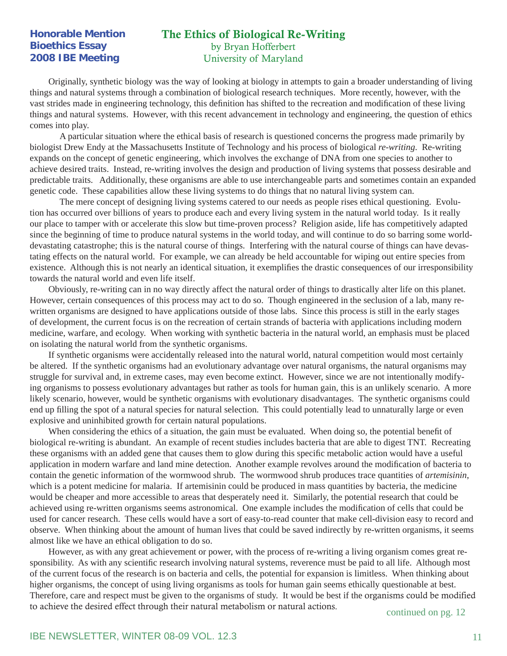#### **Honorable Mention Bioethics Essay 2008 IBE Meeting**

#### The Ethics of Biological Re-Writing by Bryan Hofferbert University of Maryland

Originally, synthetic biology was the way of looking at biology in attempts to gain a broader understanding of living things and natural systems through a combination of biological research techniques. More recently, however, with the vast strides made in engineering technology, this definition has shifted to the recreation and modification of these living things and natural systems. However, with this recent advancement in technology and engineering, the question of ethics comes into play.

 A particular situation where the ethical basis of research is questioned concerns the progress made primarily by biologist Drew Endy at the Massachusetts Institute of Technology and his process of biological *re-writing*. Re-writing expands on the concept of genetic engineering, which involves the exchange of DNA from one species to another to achieve desired traits. Instead, re-writing involves the design and production of living systems that possess desirable and predictable traits. Additionally, these organisms are able to use interchangeable parts and sometimes contain an expanded genetic code. These capabilities allow these living systems to do things that no natural living system can.

 The mere concept of designing living systems catered to our needs as people rises ethical questioning. Evolution has occurred over billions of years to produce each and every living system in the natural world today. Is it really our place to tamper with or accelerate this slow but time-proven process? Religion aside, life has competitively adapted since the beginning of time to produce natural systems in the world today, and will continue to do so barring some worlddevastating catastrophe; this is the natural course of things. Interfering with the natural course of things can have devastating effects on the natural world. For example, we can already be held accountable for wiping out entire species from existence. Although this is not nearly an identical situation, it exemplifies the drastic consequences of our irresponsibility towards the natural world and even life itself.

Obviously, re-writing can in no way directly affect the natural order of things to drastically alter life on this planet. However, certain consequences of this process may act to do so. Though engineered in the seclusion of a lab, many rewritten organisms are designed to have applications outside of those labs. Since this process is still in the early stages of development, the current focus is on the recreation of certain strands of bacteria with applications including modern medicine, warfare, and ecology. When working with synthetic bacteria in the natural world, an emphasis must be placed on isolating the natural world from the synthetic organisms.

If synthetic organisms were accidentally released into the natural world, natural competition would most certainly be altered. If the synthetic organisms had an evolutionary advantage over natural organisms, the natural organisms may struggle for survival and, in extreme cases, may even become extinct. However, since we are not intentionally modifying organisms to possess evolutionary advantages but rather as tools for human gain, this is an unlikely scenario. A more likely scenario, however, would be synthetic organisms with evolutionary disadvantages. The synthetic organisms could end up filling the spot of a natural species for natural selection. This could potentially lead to unnaturally large or even explosive and uninhibited growth for certain natural populations.

When considering the ethics of a situation, the gain must be evaluated. When doing so, the potential benefit of biological re-writing is abundant. An example of recent studies includes bacteria that are able to digest TNT. Recreating these organisms with an added gene that causes them to glow during this specific metabolic action would have a useful application in modern warfare and land mine detection. Another example revolves around the modification of bacteria to contain the genetic information of the wormwood shrub. The wormwood shrub produces trace quantities of *artemisinin*, which is a potent medicine for malaria. If artemisinin could be produced in mass quantities by bacteria, the medicine would be cheaper and more accessible to areas that desperately need it. Similarly, the potential research that could be achieved using re-written organisms seems astronomical. One example includes the modification of cells that could be used for cancer research. These cells would have a sort of easy-to-read counter that make cell-division easy to record and observe. When thinking about the amount of human lives that could be saved indirectly by re-written organisms, it seems almost like we have an ethical obligation to do so.

However, as with any great achievement or power, with the process of re-writing a living organism comes great responsibility. As with any scientific research involving natural systems, reverence must be paid to all life. Although most of the current focus of the research is on bacteria and cells, the potential for expansion is limitless. When thinking about higher organisms, the concept of using living organisms as tools for human gain seems ethically questionable at best. Therefore, care and respect must be given to the organisms of study. It would be best if the organisms could be modified to achieve the desired effect through their natural metabolism or natural actions. continued on pg. 12

#### IBE NEWSLETTER, WINTER 08-09 VOL. 12.3 11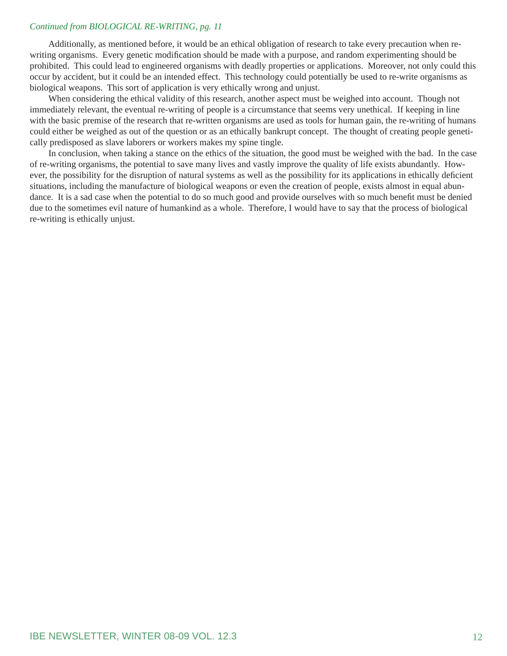#### *Continued from BIOLOGICAL RE-WRITING, pg. 11*

Additionally, as mentioned before, it would be an ethical obligation of research to take every precaution when rewriting organisms. Every genetic modification should be made with a purpose, and random experimenting should be prohibited. This could lead to engineered organisms with deadly properties or applications. Moreover, not only could this occur by accident, but it could be an intended effect. This technology could potentially be used to re-write organisms as biological weapons. This sort of application is very ethically wrong and unjust.

When considering the ethical validity of this research, another aspect must be weighed into account. Though not immediately relevant, the eventual re-writing of people is a circumstance that seems very unethical. If keeping in line with the basic premise of the research that re-written organisms are used as tools for human gain, the re-writing of humans could either be weighed as out of the question or as an ethically bankrupt concept. The thought of creating people genetically predisposed as slave laborers or workers makes my spine tingle.

In conclusion, when taking a stance on the ethics of the situation, the good must be weighed with the bad. In the case of re-writing organisms, the potential to save many lives and vastly improve the quality of life exists abundantly. However, the possibility for the disruption of natural systems as well as the possibility for its applications in ethically deficient situations, including the manufacture of biological weapons or even the creation of people, exists almost in equal abundance. It is a sad case when the potential to do so much good and provide ourselves with so much benefit must be denied due to the sometimes evil nature of humankind as a whole. Therefore, I would have to say that the process of biological re-writing is ethically unjust.